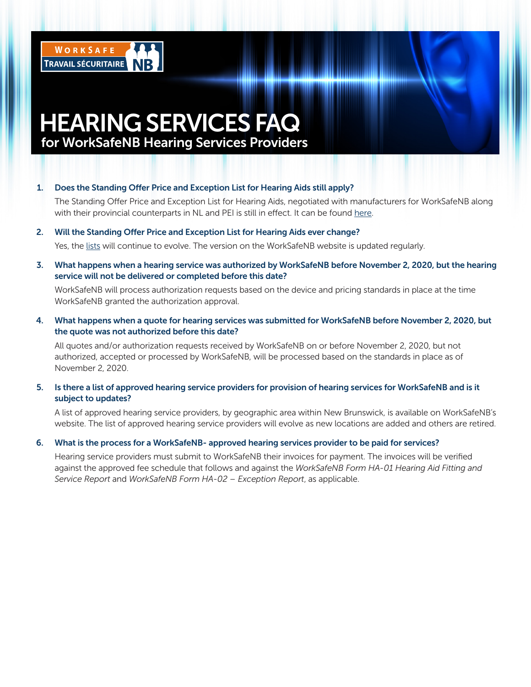

# HEARING SERVICES FAQ for WorkSafeNB Hearing Services Providers

#### 1. Does the Standing Offer Price and Exception List for Hearing Aids still apply?

 The Standing Offer Price and Exception List for Hearing Aids, negotiated with manufacturers for WorkSafeNB along with their provincial counterparts in NL and PEI is still in effect. It can be found here.

#### 2. Will the Standing Offer Price and Exception List for Hearing Aids ever change?

Yes, the lists will continue to evolve. The version on the WorkSafeNB website is updated regularly.

3. What happens when a hearing service was authorized by WorkSafeNB before November 2, 2020, but the hearing service will not be delivered or completed before this date?

 WorkSafeNB will process authorization requests based on the device and pricing standards in place at the time WorkSafeNB granted the authorization approval.

4. What happens when a quote for hearing services was submitted for WorkSafeNB before November 2, 2020, but the quote was not authorized before this date?

 All quotes and/or authorization requests received by WorkSafeNB on or before November 2, 2020, but not authorized, accepted or processed by WorkSafeNB, will be processed based on the standards in place as of November 2, 2020.

5. Is there a list of approved hearing service providers for provision of hearing services for WorkSafeNB and is it subject to updates?

 A list of approved hearing service providers, by geographic area within New Brunswick, is available on WorkSafeNB's website. The list of approved hearing service providers will evolve as new locations are added and others are retired.

#### 6. What is the process for a WorkSafeNB- approved hearing services provider to be paid for services?

 Hearing service providers must submit to WorkSafeNB their invoices for payment. The invoices will be verified against the approved fee schedule that follows and against the *WorkSafeNB Form HA-01 Hearing Aid Fitting and Service Report* and *WorkSafeNB Form HA-02 – Exception Report*, as applicable.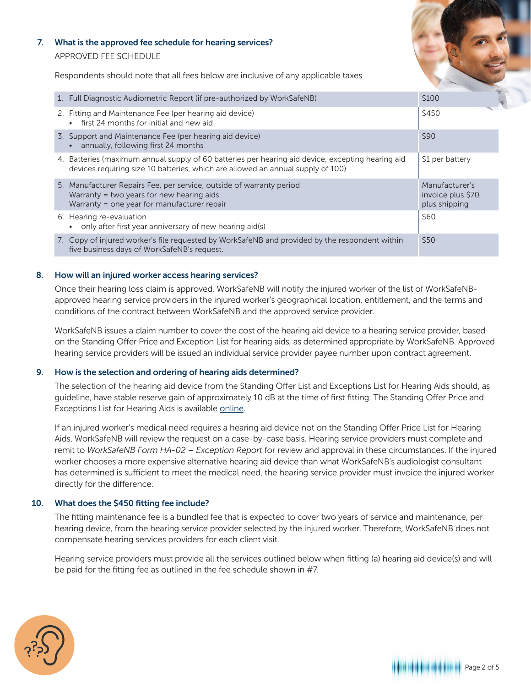#### 7. What is the approved fee schedule for hearing services?

APPROVED FEE SCHEDULE

Respondents should note that all fees below are inclusive of any applicable taxes

| 1. Full Diagnostic Audiometric Report (if pre-authorized by WorkSafeNB)                                                                                                                 | \$100                                                 |
|-----------------------------------------------------------------------------------------------------------------------------------------------------------------------------------------|-------------------------------------------------------|
| 2. Fitting and Maintenance Fee (per hearing aid device)<br>• first 24 months for initial and new aid                                                                                    | \$450                                                 |
| 3. Support and Maintenance Fee (per hearing aid device)<br>annually, following first 24 months                                                                                          | <b>\$90</b>                                           |
| Batteries (maximum annual supply of 60 batteries per hearing aid device, excepting hearing aid<br>4.<br>devices requiring size 10 batteries, which are allowed an annual supply of 100) | \$1 per battery                                       |
| 5. Manufacturer Repairs Fee, per service, outside of warranty period<br>Warranty $=$ two years for new hearing aids<br>Warranty = one year for manufacturer repair                      | Manufacturer's<br>invoice plus \$70,<br>plus shipping |
| 6. Hearing re-evaluation<br>only after first year anniversary of new hearing aid(s)                                                                                                     | \$60                                                  |
| 7. Copy of injured worker's file requested by WorkSafeNB and provided by the respondent within<br>five business days of WorkSafeNB's request.                                           | \$50                                                  |

## 8. How will an injured worker access hearing services?

 Once their hearing loss claim is approved, WorkSafeNB will notify the injured worker of the list of WorkSafeNBapproved hearing service providers in the injured worker's geographical location, entitlement, and the terms and conditions of the contract between WorkSafeNB and the approved service provider.

 WorkSafeNB issues a claim number to cover the cost of the hearing aid device to a hearing service provider, based on the Standing Offer Price and Exception List for hearing aids, as determined appropriate by WorkSafeNB. Approved hearing service providers will be issued an individual service provider payee number upon contract agreement.

# 9. How is the selection and ordering of hearing aids determined?

 The selection of the hearing aid device from the Standing Offer List and Exceptions List for Hearing Aids should, as guideline, have stable reserve gain of approximately 10 dB at the time of first fitting. The Standing Offer Price and Exceptions List for Hearing Aids is available online.

 If an injured worker's medical need requires a hearing aid device not on the Standing Offer Price List for Hearing Aids, WorkSafeNB will review the request on a case-by-case basis. Hearing service providers must complete and remit to *WorkSafeNB Form HA-02 – Exception Report* for review and approval in these circumstances. If the injured worker chooses a more expensive alternative hearing aid device than what WorkSafeNB's audiologist consultant has determined is sufficient to meet the medical need, the hearing service provider must invoice the injured worker directly for the difference.

# 10. What does the \$450 fitting fee include?

 The fitting maintenance fee is a bundled fee that is expected to cover two years of service and maintenance, per hearing device, from the hearing service provider selected by the injured worker. Therefore, WorkSafeNB does not compensate hearing services providers for each client visit.

 Hearing service providers must provide all the services outlined below when fitting (a) hearing aid device(s) and will be paid for the fitting fee as outlined in the fee schedule shown in #7.



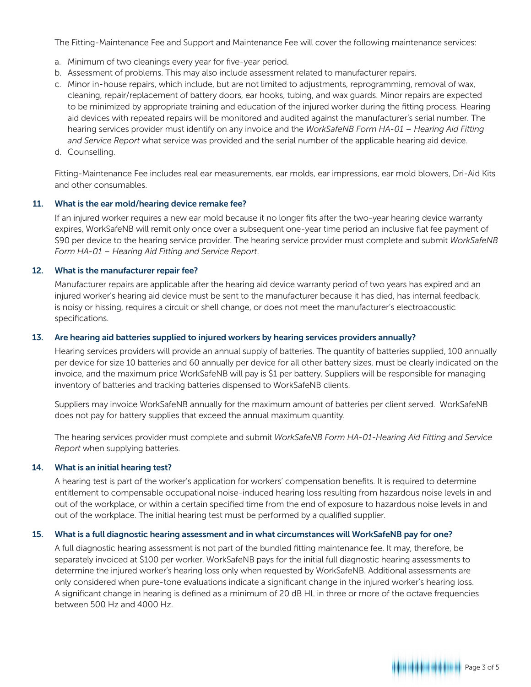The Fitting-Maintenance Fee and Support and Maintenance Fee will cover the following maintenance services:

- a. Minimum of two cleanings every year for five-year period.
- b. Assessment of problems. This may also include assessment related to manufacturer repairs.
- c. Minor in-house repairs, which include, but are not limited to adjustments, reprogramming, removal of wax, cleaning, repair/replacement of battery doors, ear hooks, tubing, and wax guards. Minor repairs are expected to be minimized by appropriate training and education of the injured worker during the fitting process. Hearing aid devices with repeated repairs will be monitored and audited against the manufacturer's serial number. The hearing services provider must identify on any invoice and the *WorkSafeNB Form HA-01 – Hearing Aid Fitting and Service Report* what service was provided and the serial number of the applicable hearing aid device.
- d. Counselling.

 Fitting-Maintenance Fee includes real ear measurements, ear molds, ear impressions, ear mold blowers, Dri-Aid Kits and other consumables.

## 11. What is the ear mold/hearing device remake fee?

 If an injured worker requires a new ear mold because it no longer fits after the two-year hearing device warranty expires, WorkSafeNB will remit only once over a subsequent one-year time period an inclusive flat fee payment of \$90 per device to the hearing service provider. The hearing service provider must complete and submit *WorkSafeNB Form HA-01 – Hearing Aid Fitting and Service Report*.

#### 12. What is the manufacturer repair fee?

 Manufacturer repairs are applicable after the hearing aid device warranty period of two years has expired and an injured worker's hearing aid device must be sent to the manufacturer because it has died, has internal feedback, is noisy or hissing, requires a circuit or shell change, or does not meet the manufacturer's electroacoustic specifications.

## 13. Are hearing aid batteries supplied to injured workers by hearing services providers annually?

 Hearing services providers will provide an annual supply of batteries. The quantity of batteries supplied, 100 annually per device for size 10 batteries and 60 annually per device for all other battery sizes, must be clearly indicated on the invoice, and the maximum price WorkSafeNB will pay is \$1 per battery. Suppliers will be responsible for managing inventory of batteries and tracking batteries dispensed to WorkSafeNB clients.

 Suppliers may invoice WorkSafeNB annually for the maximum amount of batteries per client served. WorkSafeNB does not pay for battery supplies that exceed the annual maximum quantity.

 The hearing services provider must complete and submit *WorkSafeNB Form HA-01-Hearing Aid Fitting and Service Report* when supplying batteries.

#### 14. What is an initial hearing test?

 A hearing test is part of the worker's application for workers' compensation benefits. It is required to determine entitlement to compensable occupational noise-induced hearing loss resulting from hazardous noise levels in and out of the workplace, or within a certain specified time from the end of exposure to hazardous noise levels in and out of the workplace. The initial hearing test must be performed by a qualified supplier.

#### 15. What is a full diagnostic hearing assessment and in what circumstances will WorkSafeNB pay for one?

 A full diagnostic hearing assessment is not part of the bundled fitting maintenance fee. It may, therefore, be separately invoiced at \$100 per worker. WorkSafeNB pays for the initial full diagnostic hearing assessments to determine the injured worker's hearing loss only when requested by WorkSafeNB. Additional assessments are only considered when pure-tone evaluations indicate a significant change in the injured worker's hearing loss. A significant change in hearing is defined as a minimum of 20 dB HL in three or more of the octave frequencies between 500 Hz and 4000 Hz.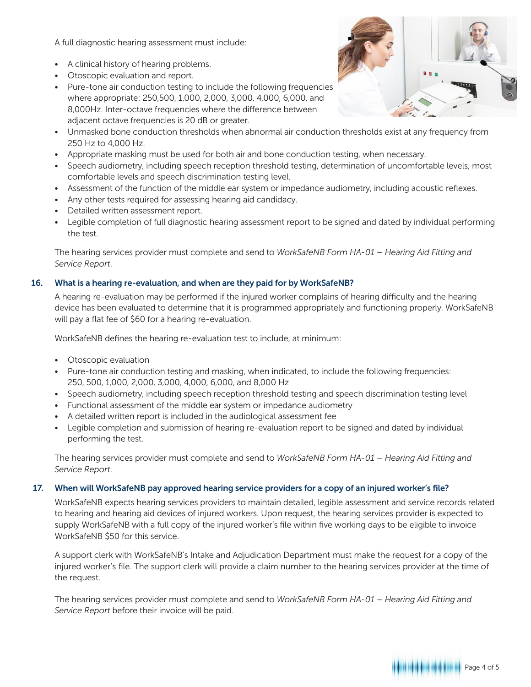A full diagnostic hearing assessment must include:

- A clinical history of hearing problems.
- Otoscopic evaluation and report.
- Pure-tone air conduction testing to include the following frequencies where appropriate: 250,500, 1,000, 2,000, 3,000, 4,000, 6,000, and 8,000Hz. Inter-octave frequencies where the difference between adjacent octave frequencies is 20 dB or greater.



- Unmasked bone conduction thresholds when abnormal air conduction thresholds exist at any frequency from 250 Hz to 4,000 Hz.
- Appropriate masking must be used for both air and bone conduction testing, when necessary.
- Speech audiometry, including speech reception threshold testing, determination of uncomfortable levels, most comfortable levels and speech discrimination testing level.
- Assessment of the function of the middle ear system or impedance audiometry, including acoustic reflexes.
- Any other tests required for assessing hearing aid candidacy.
- Detailed written assessment report.
- Legible completion of full diagnostic hearing assessment report to be signed and dated by individual performing the test.

 The hearing services provider must complete and send to *WorkSafeNB Form HA-01 – Hearing Aid Fitting and Service Report*.

# 16. What is a hearing re-evaluation, and when are they paid for by WorkSafeNB?

 A hearing re-evaluation may be performed if the injured worker complains of hearing difficulty and the hearing device has been evaluated to determine that it is programmed appropriately and functioning properly. WorkSafeNB will pay a flat fee of \$60 for a hearing re-evaluation.

WorkSafeNB defines the hearing re-evaluation test to include, at minimum:

- Otoscopic evaluation
- Pure-tone air conduction testing and masking, when indicated, to include the following frequencies: 250, 500, 1,000, 2,000, 3,000, 4,000, 6,000, and 8,000 Hz
- Speech audiometry, including speech reception threshold testing and speech discrimination testing level
- Functional assessment of the middle ear system or impedance audiometry
- A detailed written report is included in the audiological assessment fee
- Legible completion and submission of hearing re-evaluation report to be signed and dated by individual performing the test.

 The hearing services provider must complete and send to *WorkSafeNB Form HA-01 – Hearing Aid Fitting and Service Report*.

# 17. When will WorkSafeNB pay approved hearing service providers for a copy of an injured worker's file?

 WorkSafeNB expects hearing services providers to maintain detailed, legible assessment and service records related to hearing and hearing aid devices of injured workers. Upon request, the hearing services provider is expected to supply WorkSafeNB with a full copy of the injured worker's file within five working days to be eligible to invoice WorkSafeNB \$50 for this service.

 A support clerk with WorkSafeNB's Intake and Adjudication Department must make the request for a copy of the injured worker's file. The support clerk will provide a claim number to the hearing services provider at the time of the request.

 The hearing services provider must complete and send to *WorkSafeNB Form HA-01 – Hearing Aid Fitting and Service Report* before their invoice will be paid.